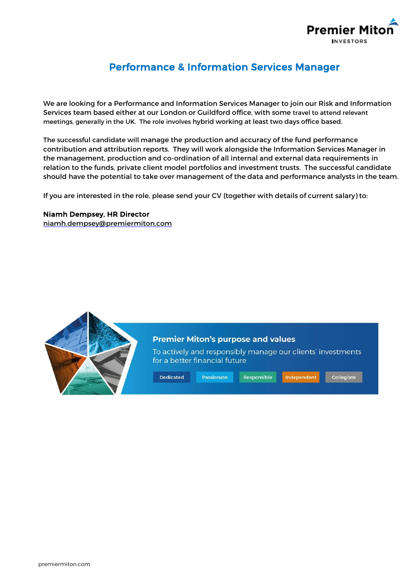

## Performance & Information Services Manager

We are looking for a Performance and Information Services Manager to join our Risk and Information Services team based either at our London or Guildford office, with some travel to attend relevant meetings, generally in the UK. The role involves hybrid working at least two days office based.

The successful candidate will manage the production and accuracy of the fund performance contribution and attribution reports. They will work alongside the Information Services Manager in the management, production and co-ordination of all internal and external data requirements in relation to the funds, private client model portfolios and investment trusts. The successful candidate should have the potential to take over management of the data and performance analysts in the team.

If you are interested in the role, please send your CV (together with details of current salary) to:

## Niamh Dempsey, HR Director

[niamh.dempsey@premiermiton.com](mailto:niamh.dempsey@premiermiton.com)